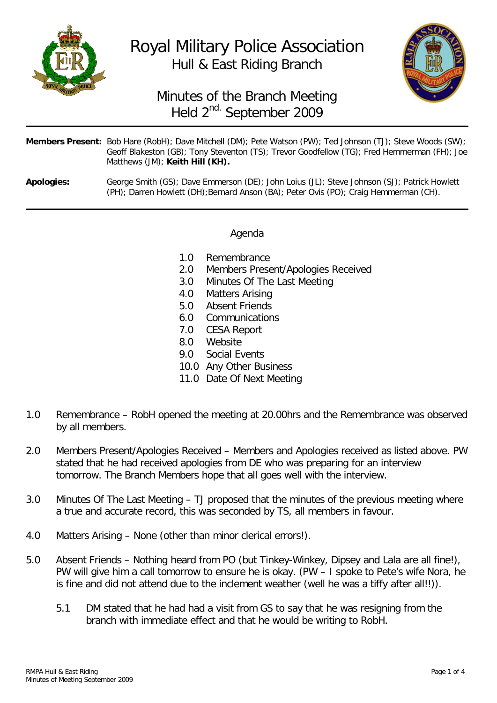

# Royal Military Police Association Hull & East Riding Branch



## Minutes of the Branch Meeting Held 2<sup>nd.</sup> September 2009

|                   | <b>Members Present:</b> Bob Hare (RobH); Dave Mitchell (DM); Pete Watson (PW); Ted Johnson (TJ); Steve Woods (SW);<br>Geoff Blakeston (GB); Tony Steventon (TS); Trevor Goodfellow (TG); Fred Hemmerman (FH); Joe<br>Matthews (JM); Keith Hill (KH). |
|-------------------|------------------------------------------------------------------------------------------------------------------------------------------------------------------------------------------------------------------------------------------------------|
| <b>Apologies:</b> | George Smith (GS); Dave Emmerson (DE); John Loius (JL); Steve Johnson (SJ); Patrick Howlett<br>(PH); Darren Howlett (DH); Bernard Anson (BA); Peter Ovis (PO); Craig Hemmerman (CH).                                                                 |

### Agenda

- 1.0 Remembrance<br>2.0 Members Prese
- Members Present/Apologies Received
- 3.0 Minutes Of The Last Meeting
- 4.0 Matters Arising<br>5.0 Absent Friends
- Absent Friends
- 6.0 Communications
- 7.0 CESA Report
- 8.0 Website
- 9.0 Social Events
- 10.0 Any Other Business
- 11.0 Date Of Next Meeting
- 1.0 Remembrance RobH opened the meeting at 20.00hrs and the Remembrance was observed by all members.
- 2.0 Members Present/Apologies Received Members and Apologies received as listed above. PW stated that he had received apologies from DE who was preparing for an interview tomorrow. The Branch Members hope that all goes well with the interview.
- 3.0 Minutes Of The Last Meeting TJ proposed that the minutes of the previous meeting where a true and accurate record, this was seconded by TS, all members in favour.
- 4.0 Matters Arising None (other than minor clerical errors!).
- 5.0 Absent Friends Nothing heard from PO (but Tinkey-Winkey, Dipsey and Lala are all fine!), PW will give him a call tomorrow to ensure he is okay. (PW – I spoke to Pete's wife Nora, he is fine and did not attend due to the inclement weather (well he was a tiffy after all!!)).
	- 5.1 DM stated that he had had a visit from GS to say that he was resigning from the branch with immediate effect and that he would be writing to RobH.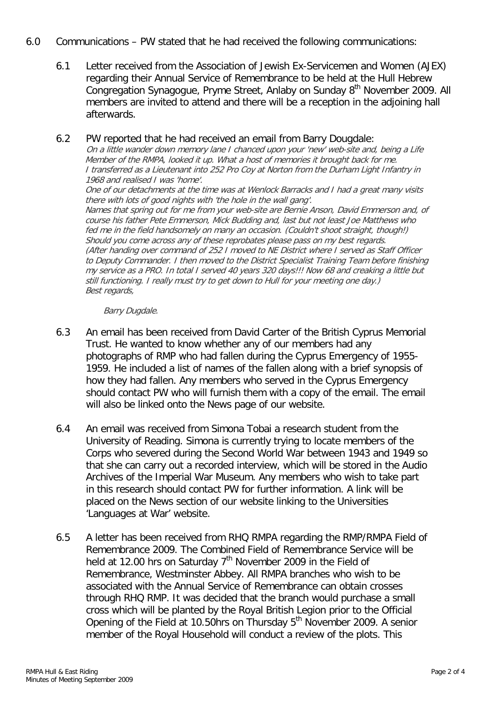#### 6.0 Communications – PW stated that he had received the following communications:

6.1 Letter received from the Association of Jewish Ex-Servicemen and Women (AJEX) regarding their Annual Service of Remembrance to be held at the Hull Hebrew Congregation Synagogue, Pryme Street, Anlaby on Sunday 8<sup>th</sup> November 2009. All members are invited to attend and there will be a reception in the adjoining hall afterwards.

#### 6.2 PW reported that he had received an email from Barry Dougdale:

On a little wander down memory lane I chanced upon your 'new' web-site and, being a Life Member of the RMPA, looked it up. What a host of memories it brought back for me. I transferred as a Lieutenant into 252 Pro Coy at Norton from the Durham Light Infantry in 1968 and realised I was 'home'.

One of our detachments at the time was at Wenlock Barracks and I had a great many visits there with lots of good nights with 'the hole in the wall gang'.

Names that spring out for me from your web-site are Bernie Anson, David Emmerson and, of course his father Pete Emmerson, Mick Budding and, last but not least Joe Matthews who fed me in the field handsomely on many an occasion. (Couldn't shoot straight, though!) Should you come across any of these reprobates please pass on my best regards. (After handing over command of 252 I moved to NE District where I served as Staff Officer to Deputy Commander. I then moved to the District Specialist Training Team before finishing my service as a PRO. In total I served 40 years 320 days!!! Now 68 and creaking a little but still functioning. I really must try to get down to Hull for your meeting one day.) Best regards,

#### Barry Dugdale.

- 6.3 An email has been received from David Carter of the British Cyprus Memorial Trust. He wanted to know whether any of our members had any photographs of RMP who had fallen during the Cyprus Emergency of 1955- 1959. He included a list of names of the fallen along with a brief synopsis of how they had fallen. Any members who served in the Cyprus Emergency should contact PW who will furnish them with a copy of the email. The email will also be linked onto the News page of our website.
- 6.4 An email was received from Simona Tobai a research student from the University of Reading. Simona is currently trying to locate members of the Corps who severed during the Second World War between 1943 and 1949 so that she can carry out a recorded interview, which will be stored in the Audio Archives of the Imperial War Museum. Any members who wish to take part in this research should contact PW for further information. A link will be placed on the News section of our website linking to the Universities 'Languages at War' website.
- 6.5 A letter has been received from RHQ RMPA regarding the RMP/RMPA Field of Remembrance 2009. The Combined Field of Remembrance Service will be held at 12.00 hrs on Saturday  $7<sup>th</sup>$  November 2009 in the Field of Remembrance, Westminster Abbey. All RMPA branches who wish to be associated with the Annual Service of Remembrance can obtain crosses through RHQ RMP. It was decided that the branch would purchase a small cross which will be planted by the Royal British Legion prior to the Official Opening of the Field at 10.50hrs on Thursday  $5<sup>th</sup>$  November 2009. A senior member of the Royal Household will conduct a review of the plots. This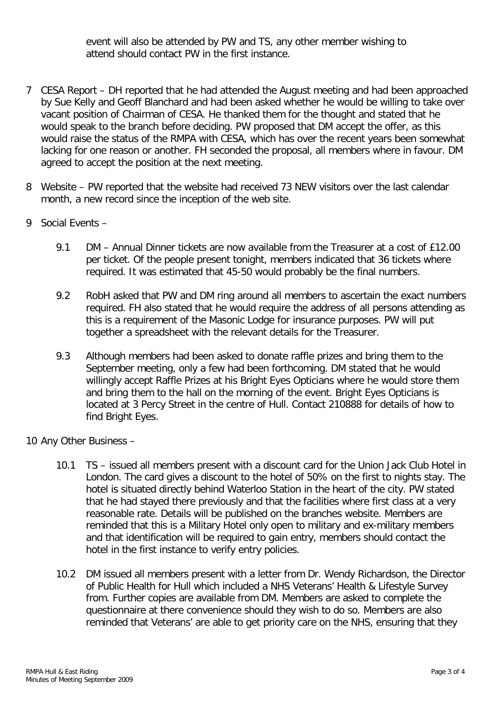event will also be attended by PW and TS, any other member wishing to attend should contact PW in the first instance.

- 7 CESA Report DH reported that he had attended the August meeting and had been approached by Sue Kelly and Geoff Blanchard and had been asked whether he would be willing to take over vacant position of Chairman of CESA. He thanked them for the thought and stated that he would speak to the branch before deciding. PW proposed that DM accept the offer, as this would raise the status of the RMPA with CESA, which has over the recent years been somewhat lacking for one reason or another. FH seconded the proposal, all members where in favour. DM agreed to accept the position at the next meeting.
- 8 Website PW reported that the website had received 73 NEW visitors over the last calendar month, a new record since the inception of the web site.
- 9 Social Events
	- 9.1 DM Annual Dinner tickets are now available from the Treasurer at a cost of £12.00 per ticket. Of the people present tonight, members indicated that 36 tickets where required. It was estimated that 45-50 would probably be the final numbers.
	- 9.2 RobH asked that PW and DM ring around all members to ascertain the exact numbers required. FH also stated that he would require the address of all persons attending as this is a requirement of the Masonic Lodge for insurance purposes. PW will put together a spreadsheet with the relevant details for the Treasurer.
	- 9.3 Although members had been asked to donate raffle prizes and bring them to the September meeting, only a few had been forthcoming. DM stated that he would willingly accept Raffle Prizes at his Bright Eyes Opticians where he would store them and bring them to the hall on the morning of the event. Bright Eyes Opticians is located at 3 Percy Street in the centre of Hull. Contact 210888 for details of how to find Bright Eyes.
- 10 Any Other Business
	- 10.1 TS issued all members present with a discount card for the Union Jack Club Hotel in London. The card gives a discount to the hotel of 50% on the first to nights stay. The hotel is situated directly behind Waterloo Station in the heart of the city. PW stated that he had stayed there previously and that the facilities where first class at a very reasonable rate. Details will be published on the branches website. Members are reminded that this is a Military Hotel only open to military and ex-military members and that identification will be required to gain entry, members should contact the hotel in the first instance to verify entry policies.
	- 10.2 DM issued all members present with a letter from Dr. Wendy Richardson, the Director of Public Health for Hull which included a NHS Veterans' Health & Lifestyle Survey from. Further copies are available from DM. Members are asked to complete the questionnaire at there convenience should they wish to do so. Members are also reminded that Veterans' are able to get priority care on the NHS, ensuring that they